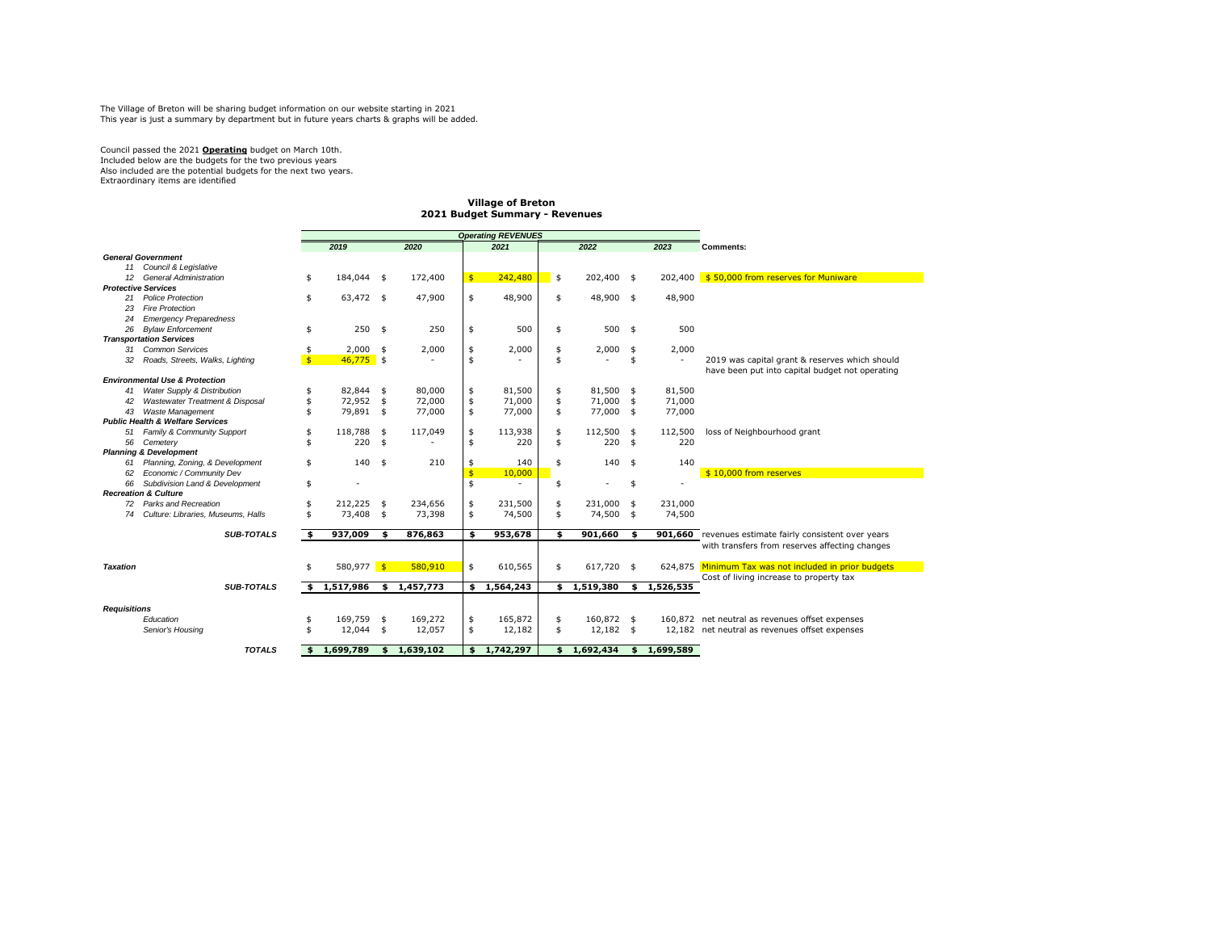The Village of Breton will be sharing budget information on our website starting in 2021 This year is just a summary by department but in future years charts & graphs will be added.

Council passed the 2021 **Operating** budget on March 10th. Included below are the budgets for the two previous years Also included are the potential budgets for the next two years. Extraordinary items are identified

## **Village of Breton 2021 Budget Summary - Revenues**

|                     |                                             |              |              |                          | <b>Operating REVENUES</b> |               |           |                 |      |             |                                                 |
|---------------------|---------------------------------------------|--------------|--------------|--------------------------|---------------------------|---------------|-----------|-----------------|------|-------------|-------------------------------------------------|
|                     |                                             |              | 2019         |                          | 2020                      |               | 2021      | 2022            |      | 2023        | <b>Comments:</b>                                |
|                     | <b>General Government</b>                   |              |              |                          |                           |               |           |                 |      |             |                                                 |
| 11                  | Council & Legislative                       |              |              |                          |                           |               |           |                 |      |             |                                                 |
| 12                  | <b>General Administration</b>               | \$           | 184,044      | $\overline{\phantom{a}}$ | 172,400                   | $\frac{1}{2}$ | 242,480   | \$<br>202,400   | \$   | 202,400     | \$50,000 from reserves for Muniware             |
|                     | <b>Protective Services</b>                  |              |              |                          |                           |               |           |                 |      |             |                                                 |
| 21                  | <b>Police Protection</b>                    | \$           | 63,472 \$    |                          | 47,900                    | \$            | 48,900    | \$<br>48,900 \$ |      | 48,900      |                                                 |
| 23                  | <b>Fire Protection</b>                      |              |              |                          |                           |               |           |                 |      |             |                                                 |
| 24                  | <b>Emergency Preparedness</b>               |              |              |                          |                           |               |           |                 |      |             |                                                 |
| 26                  | <b>Bylaw Enforcement</b>                    | \$           | 250          | \$                       | 250                       | \$            | 500       | \$<br>500       | \$   | 500         |                                                 |
|                     | <b>Transportation Services</b>              |              |              |                          |                           |               |           |                 |      |             |                                                 |
| 31                  | <b>Common Services</b>                      | \$           | 2,000        | \$                       | 2,000                     | \$            | 2,000     | \$<br>2,000     | \$   | 2,000       |                                                 |
| 32                  | Roads, Streets, Walks, Lighting             | $\mathsf{s}$ | $46,775$ \$  |                          |                           | \$            |           | \$              | \$   | $\sim$      | 2019 was capital grant & reserves which should  |
|                     |                                             |              |              |                          |                           |               |           |                 |      |             | have been put into capital budget not operating |
|                     | <b>Environmental Use &amp; Protection</b>   |              |              |                          |                           |               |           |                 |      |             |                                                 |
| 41                  | Water Supply & Distribution                 | \$           | 82.844       | \$                       | 80,000                    | \$            | 81,500    | \$<br>81,500    | \$   | 81,500      |                                                 |
| 42                  | Wastewater Treatment & Disposal             | \$           | 72,952       | \$                       | 72,000                    | \$            | 71,000    | \$<br>71,000    | \$   | 71,000      |                                                 |
| 43                  | <b>Waste Management</b>                     | \$           | 79,891       | \$                       | 77,000                    | \$            | 77,000    | \$<br>77,000    | \$   | 77,000      |                                                 |
|                     | <b>Public Health &amp; Welfare Services</b> |              |              |                          |                           |               |           |                 |      |             |                                                 |
| 51                  | Family & Community Support                  | \$           | 118,788      | \$                       | 117,049                   | \$            | 113,938   | \$<br>112,500   | \$   | 112,500     | loss of Neighbourhood grant                     |
| 56                  | Cemetery                                    | \$           | 220          | \$                       |                           | \$            | 220       | \$<br>220       | \$   | 220         |                                                 |
|                     | <b>Planning &amp; Development</b>           |              |              |                          |                           |               |           |                 |      |             |                                                 |
| 61                  | Planning, Zoning, & Development             | \$           | 140          | \$                       | 210                       | \$            | 140       | \$<br>140       | \$   | 140         |                                                 |
| 62                  | Economic / Community Dev                    |              |              |                          |                           | \$            | 10,000    |                 |      |             | \$10,000 from reserves                          |
| 66                  | Subdivision Land & Development              | \$           |              |                          |                           | \$            |           | \$              | \$   |             |                                                 |
|                     | <b>Recreation &amp; Culture</b>             |              |              |                          |                           |               |           |                 |      |             |                                                 |
|                     | 72 Parks and Recreation                     | \$           | 212,225      | \$                       | 234,656                   | \$            | 231,500   | \$<br>231,000   | \$   | 231.000     |                                                 |
| 74                  | Culture: Libraries, Museums, Halls          | \$           | 73,408       | \$                       | 73,398                    | \$            | 74,500    | \$<br>74,500    | \$   | 74,500      |                                                 |
|                     |                                             |              |              |                          |                           |               |           |                 |      |             |                                                 |
|                     | <b>SUB-TOTALS</b>                           | \$.          | 937,009      | \$                       | 876,863                   | \$            | 953,678   | \$<br>901,660   | \$.  | 901,660     | revenues estimate fairly consistent over years  |
|                     |                                             |              |              |                          |                           |               |           |                 |      |             | with transfers from reserves affecting changes  |
|                     |                                             |              |              |                          |                           |               |           |                 |      |             |                                                 |
| <b>Taxation</b>     |                                             | \$           | $580,977$ \$ |                          | 580.910                   | \$            | 610,565   | \$<br>617,720   | - \$ | 624,875     | Minimum Tax was not included in prior budgets   |
|                     |                                             |              |              |                          |                           |               |           |                 |      |             | Cost of living increase to property tax         |
|                     | <b>SUB-TOTALS</b>                           |              | \$1,517,986  |                          | \$1,457,773               | \$            | 1,564,243 | \$1,519,380     |      | \$1,526,535 |                                                 |
|                     |                                             |              |              |                          |                           |               |           |                 |      |             |                                                 |
| <b>Requisitions</b> |                                             |              |              |                          |                           |               |           |                 |      |             |                                                 |
|                     | Education                                   | \$           | 169.759      | \$                       | 169,272                   | \$            | 165.872   | \$<br>160.872   | - \$ |             | 160.872 net neutral as revenues offset expenses |
|                     | Senior's Housing                            | \$           | 12.044       | \$                       | 12.057                    | \$            | 12,182    | \$<br>12.182    | - \$ |             | 12.182 net neutral as revenues offset expenses  |
|                     |                                             |              |              |                          |                           |               |           |                 |      |             |                                                 |
|                     | <b>TOTALS</b>                               | \$           | 1,699,789    | \$                       | 1,639,102                 | \$            | 1,742,297 | \$<br>1,692,434 | \$   | 1,699,589   |                                                 |